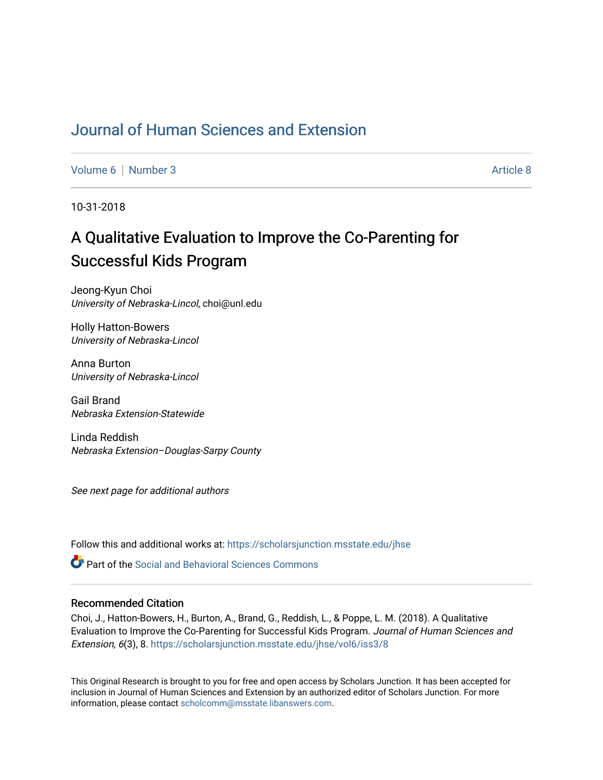# [Journal of Human Sciences and Extension](https://scholarsjunction.msstate.edu/jhse)

[Volume 6](https://scholarsjunction.msstate.edu/jhse/vol6) | [Number 3](https://scholarsjunction.msstate.edu/jhse/vol6/iss3) [Article 8](https://scholarsjunction.msstate.edu/jhse/vol6/iss3/8) Article 8 Article 8 Article 8 Article 8 Article 8 Article 8 Article 8 Article 8

10-31-2018

# A Qualitative Evaluation to Improve the Co-Parenting for Successful Kids Program

Jeong-Kyun Choi University of Nebraska-Lincol, choi@unl.edu

Holly Hatton-Bowers University of Nebraska-Lincol

Anna Burton University of Nebraska-Lincol

Gail Brand Nebraska Extension-Statewide

Linda Reddish Nebraska Extension–Douglas-Sarpy County

See next page for additional authors

Follow this and additional works at: [https://scholarsjunction.msstate.edu/jhse](https://scholarsjunction.msstate.edu/jhse?utm_source=scholarsjunction.msstate.edu%2Fjhse%2Fvol6%2Fiss3%2F8&utm_medium=PDF&utm_campaign=PDFCoverPages)

**C** Part of the Social and Behavioral Sciences Commons

#### Recommended Citation

Choi, J., Hatton-Bowers, H., Burton, A., Brand, G., Reddish, L., & Poppe, L. M. (2018). A Qualitative Evaluation to Improve the Co-Parenting for Successful Kids Program. Journal of Human Sciences and Extension, 6(3), 8. [https://scholarsjunction.msstate.edu/jhse/vol6/iss3/8](https://scholarsjunction.msstate.edu/jhse/vol6/iss3/8?utm_source=scholarsjunction.msstate.edu%2Fjhse%2Fvol6%2Fiss3%2F8&utm_medium=PDF&utm_campaign=PDFCoverPages) 

This Original Research is brought to you for free and open access by Scholars Junction. It has been accepted for inclusion in Journal of Human Sciences and Extension by an authorized editor of Scholars Junction. For more information, please contact [scholcomm@msstate.libanswers.com](mailto:scholcomm@msstate.libanswers.com).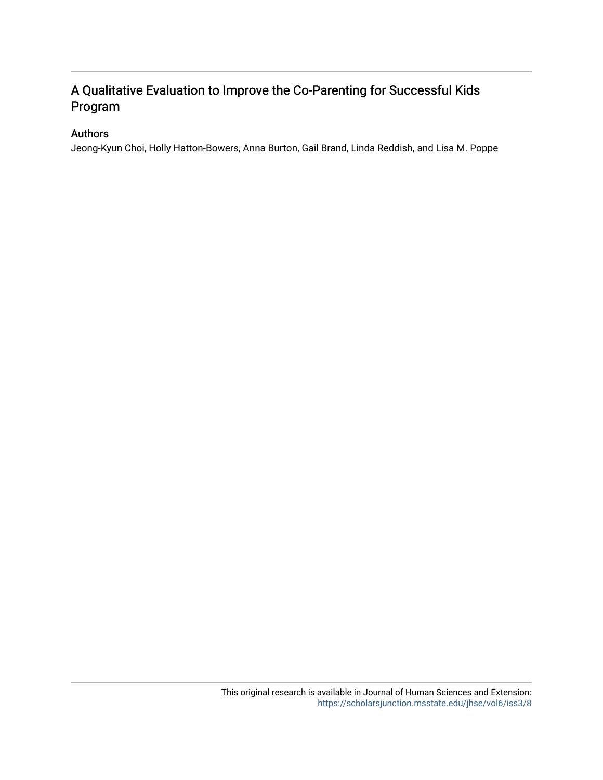# A Qualitative Evaluation to Improve the Co-Parenting for Successful Kids Program

# Authors

Jeong-Kyun Choi, Holly Hatton-Bowers, Anna Burton, Gail Brand, Linda Reddish, and Lisa M. Poppe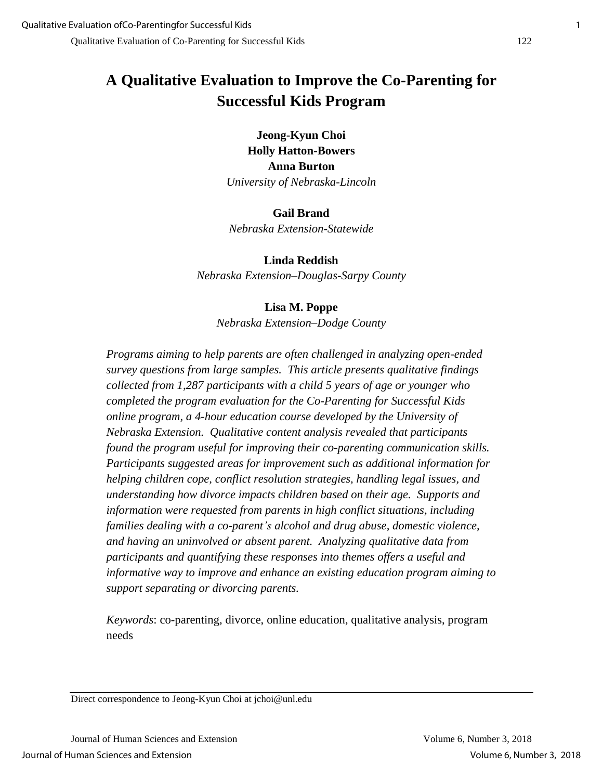# **A Qualitative Evaluation to Improve the Co-Parenting for Successful Kids Program**

**Jeong-Kyun Choi Holly Hatton-Bowers Anna Burton** *University of Nebraska-Lincoln*

**Gail Brand** *Nebraska Extension-Statewide*

**Linda Reddish** *Nebraska Extension–Douglas-Sarpy County*

# **Lisa M. Poppe**

*Nebraska Extension–Dodge County*

*Programs aiming to help parents are often challenged in analyzing open-ended survey questions from large samples. This article presents qualitative findings collected from 1,287 participants with a child 5 years of age or younger who completed the program evaluation for the Co-Parenting for Successful Kids online program, a 4-hour education course developed by the University of Nebraska Extension. Qualitative content analysis revealed that participants found the program useful for improving their co-parenting communication skills. Participants suggested areas for improvement such as additional information for helping children cope, conflict resolution strategies, handling legal issues, and understanding how divorce impacts children based on their age. Supports and information were requested from parents in high conflict situations, including families dealing with a co-parent's alcohol and drug abuse, domestic violence, and having an uninvolved or absent parent. Analyzing qualitative data from participants and quantifying these responses into themes offers a useful and informative way to improve and enhance an existing education program aiming to support separating or divorcing parents.* 

*Keywords*: co-parenting, divorce, online education, qualitative analysis, program needs

Direct correspondence to Jeong-Kyun Choi at jchoi@unl.edu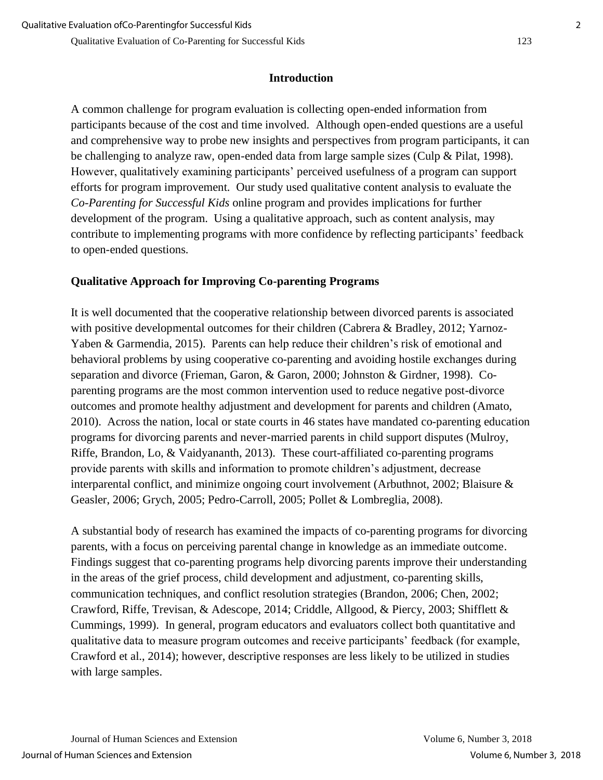# **Introduction**

A common challenge for program evaluation is collecting open-ended information from participants because of the cost and time involved. Although open-ended questions are a useful and comprehensive way to probe new insights and perspectives from program participants, it can be challenging to analyze raw, open-ended data from large sample sizes (Culp & Pilat, 1998). However, qualitatively examining participants' perceived usefulness of a program can support efforts for program improvement. Our study used qualitative content analysis to evaluate the *Co-Parenting for Successful Kids* online program and provides implications for further development of the program. Using a qualitative approach, such as content analysis, may contribute to implementing programs with more confidence by reflecting participants' feedback to open-ended questions.

# **Qualitative Approach for Improving Co-parenting Programs**

It is well documented that the cooperative relationship between divorced parents is associated with positive developmental outcomes for their children (Cabrera & Bradley, 2012; Yarnoz-Yaben & Garmendia, 2015). Parents can help reduce their children's risk of emotional and behavioral problems by using cooperative co-parenting and avoiding hostile exchanges during separation and divorce (Frieman, Garon, & Garon, 2000; Johnston & Girdner, 1998). Coparenting programs are the most common intervention used to reduce negative post-divorce outcomes and promote healthy adjustment and development for parents and children (Amato, 2010). Across the nation, local or state courts in 46 states have mandated co-parenting education programs for divorcing parents and never-married parents in child support disputes (Mulroy, Riffe, Brandon, Lo, & Vaidyananth, 2013). These court-affiliated co-parenting programs provide parents with skills and information to promote children's adjustment, decrease interparental conflict, and minimize ongoing court involvement (Arbuthnot, 2002; Blaisure & Geasler, 2006; Grych, 2005; Pedro-Carroll, 2005; Pollet & Lombreglia, 2008).

A substantial body of research has examined the impacts of co-parenting programs for divorcing parents, with a focus on perceiving parental change in knowledge as an immediate outcome. Findings suggest that co-parenting programs help divorcing parents improve their understanding in the areas of the grief process, child development and adjustment, co-parenting skills, communication techniques, and conflict resolution strategies (Brandon, 2006; Chen, 2002; Crawford, Riffe, Trevisan, & Adescope, 2014; Criddle, Allgood, & Piercy, 2003; Shifflett & Cummings, 1999). In general, program educators and evaluators collect both quantitative and qualitative data to measure program outcomes and receive participants' feedback (for example, Crawford et al., 2014); however, descriptive responses are less likely to be utilized in studies with large samples.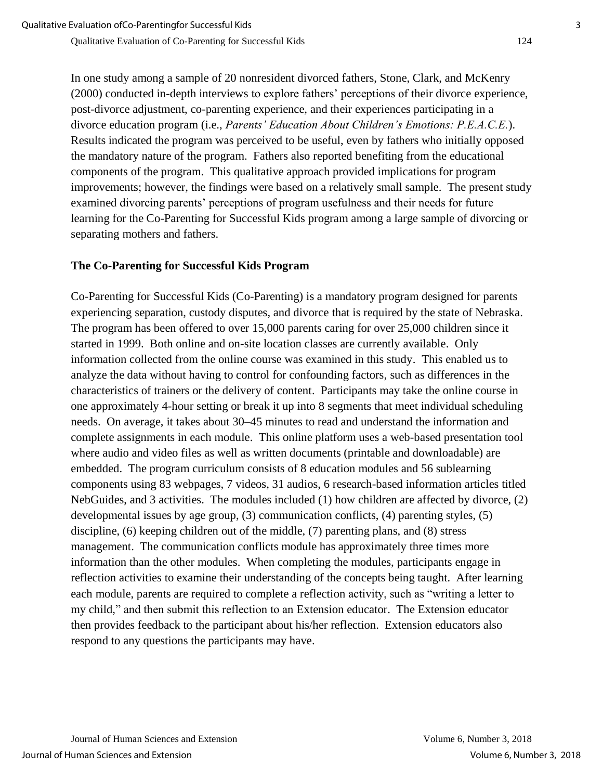In one study among a sample of 20 nonresident divorced fathers, Stone, Clark, and McKenry (2000) conducted in-depth interviews to explore fathers' perceptions of their divorce experience, post-divorce adjustment, co-parenting experience, and their experiences participating in a divorce education program (i.e., *Parents' Education About Children's Emotions: P.E.A.C.E.*). Results indicated the program was perceived to be useful, even by fathers who initially opposed the mandatory nature of the program. Fathers also reported benefiting from the educational components of the program. This qualitative approach provided implications for program improvements; however, the findings were based on a relatively small sample. The present study examined divorcing parents' perceptions of program usefulness and their needs for future learning for the Co-Parenting for Successful Kids program among a large sample of divorcing or separating mothers and fathers.

# **The Co-Parenting for Successful Kids Program**

Co-Parenting for Successful Kids (Co-Parenting) is a mandatory program designed for parents experiencing separation, custody disputes, and divorce that is required by the state of Nebraska. The program has been offered to over 15,000 parents caring for over 25,000 children since it started in 1999. Both online and on-site location classes are currently available. Only information collected from the online course was examined in this study. This enabled us to analyze the data without having to control for confounding factors, such as differences in the characteristics of trainers or the delivery of content. Participants may take the online course in one approximately 4-hour setting or break it up into 8 segments that meet individual scheduling needs. On average, it takes about 30–45 minutes to read and understand the information and complete assignments in each module. This online platform uses a web-based presentation tool where audio and video files as well as written documents (printable and downloadable) are embedded. The program curriculum consists of 8 education modules and 56 sublearning components using 83 webpages, 7 videos, 31 audios, 6 research-based information articles titled NebGuides, and 3 activities. The modules included (1) how children are affected by divorce, (2) developmental issues by age group, (3) communication conflicts, (4) parenting styles, (5) discipline, (6) keeping children out of the middle, (7) parenting plans, and (8) stress management. The communication conflicts module has approximately three times more information than the other modules. When completing the modules, participants engage in reflection activities to examine their understanding of the concepts being taught. After learning each module, parents are required to complete a reflection activity, such as "writing a letter to my child," and then submit this reflection to an Extension educator. The Extension educator then provides feedback to the participant about his/her reflection. Extension educators also respond to any questions the participants may have.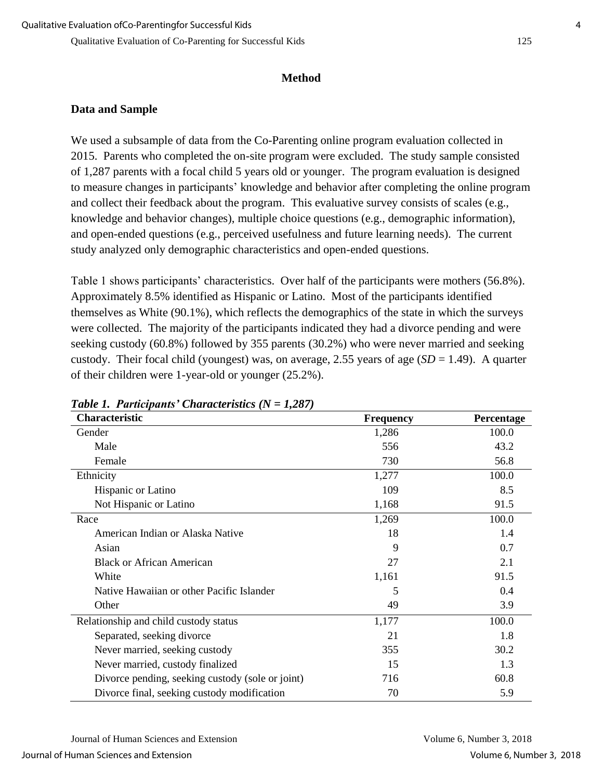# **Method**

# **Data and Sample**

We used a subsample of data from the Co-Parenting online program evaluation collected in 2015. Parents who completed the on-site program were excluded. The study sample consisted of 1,287 parents with a focal child 5 years old or younger. The program evaluation is designed to measure changes in participants' knowledge and behavior after completing the online program and collect their feedback about the program. This evaluative survey consists of scales (e.g., knowledge and behavior changes), multiple choice questions (e.g., demographic information), and open-ended questions (e.g., perceived usefulness and future learning needs). The current study analyzed only demographic characteristics and open-ended questions.

Table 1 shows participants' characteristics. Over half of the participants were mothers (56.8%). Approximately 8.5% identified as Hispanic or Latino. Most of the participants identified themselves as White (90.1%), which reflects the demographics of the state in which the surveys were collected. The majority of the participants indicated they had a divorce pending and were seeking custody (60.8%) followed by 355 parents (30.2%) who were never married and seeking custody. Their focal child (youngest) was, on average, 2.55 years of age  $(SD = 1.49)$ . A quarter of their children were 1-year-old or younger (25.2%).

| Characteristic                                   | <b>Frequency</b> | Percentage |
|--------------------------------------------------|------------------|------------|
| Gender                                           | 1,286            | 100.0      |
| Male                                             | 556              | 43.2       |
| Female                                           | 730              | 56.8       |
| Ethnicity                                        | 1,277            | 100.0      |
| Hispanic or Latino                               | 109              | 8.5        |
| Not Hispanic or Latino                           | 1,168            | 91.5       |
| Race                                             | 1,269            | 100.0      |
| American Indian or Alaska Native                 | 18               | 1.4        |
| Asian                                            | 9                | 0.7        |
| <b>Black or African American</b>                 | 27               | 2.1        |
| White                                            | 1,161            | 91.5       |
| Native Hawaiian or other Pacific Islander        | 5                | 0.4        |
| Other                                            | 49               | 3.9        |
| Relationship and child custody status            | 1,177            | 100.0      |
| Separated, seeking divorce                       | 21               | 1.8        |
| Never married, seeking custody                   | 355              | 30.2       |
| Never married, custody finalized                 | 15               | 1.3        |
| Divorce pending, seeking custody (sole or joint) | 716              | 60.8       |
| Divorce final, seeking custody modification      | 70               | 5.9        |

#### *Table 1. Participants' Characteristics (N = 1,287)*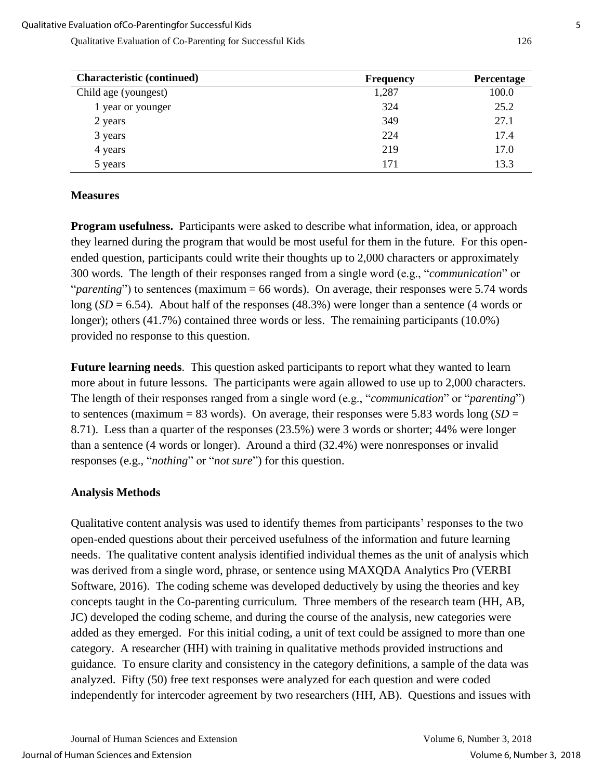| <b>Characteristic (continued)</b> | <b>Frequency</b> | Percentage |
|-----------------------------------|------------------|------------|
| Child age (youngest)              | 1,287            | 100.0      |
| 1 year or younger                 | 324              | 25.2       |
| 2 years                           | 349              | 27.1       |
| 3 years                           | 224              | 17.4       |
| 4 years                           | 219              | 17.0       |
| 5 years                           | 171              | 13.3       |

## **Measures**

**Program usefulness.** Participants were asked to describe what information, idea, or approach they learned during the program that would be most useful for them in the future. For this openended question, participants could write their thoughts up to 2,000 characters or approximately 300 words. The length of their responses ranged from a single word (e.g., "*communication*" or "*parenting*") to sentences (maximum = 66 words). On average, their responses were 5.74 words long  $(SD = 6.54)$ . About half of the responses  $(48.3%)$  were longer than a sentence  $(4$  words or longer); others (41.7%) contained three words or less. The remaining participants (10.0%) provided no response to this question.

**Future learning needs**. This question asked participants to report what they wanted to learn more about in future lessons. The participants were again allowed to use up to 2,000 characters. The length of their responses ranged from a single word (e.g., "*communication*" or "*parenting*") to sentences (maximum =  $83$  words). On average, their responses were 5.83 words long ( $SD =$ 8.71). Less than a quarter of the responses (23.5%) were 3 words or shorter; 44% were longer than a sentence (4 words or longer). Around a third (32.4%) were nonresponses or invalid responses (e.g., "*nothing*" or "*not sure*") for this question.

## **Analysis Methods**

Qualitative content analysis was used to identify themes from participants' responses to the two open-ended questions about their perceived usefulness of the information and future learning needs. The qualitative content analysis identified individual themes as the unit of analysis which was derived from a single word, phrase, or sentence using MAXQDA Analytics Pro (VERBI Software, 2016). The coding scheme was developed deductively by using the theories and key concepts taught in the Co-parenting curriculum. Three members of the research team (HH, AB, JC) developed the coding scheme, and during the course of the analysis, new categories were added as they emerged. For this initial coding, a unit of text could be assigned to more than one category. A researcher (HH) with training in qualitative methods provided instructions and guidance. To ensure clarity and consistency in the category definitions, a sample of the data was analyzed. Fifty (50) free text responses were analyzed for each question and were coded independently for intercoder agreement by two researchers (HH, AB). Questions and issues with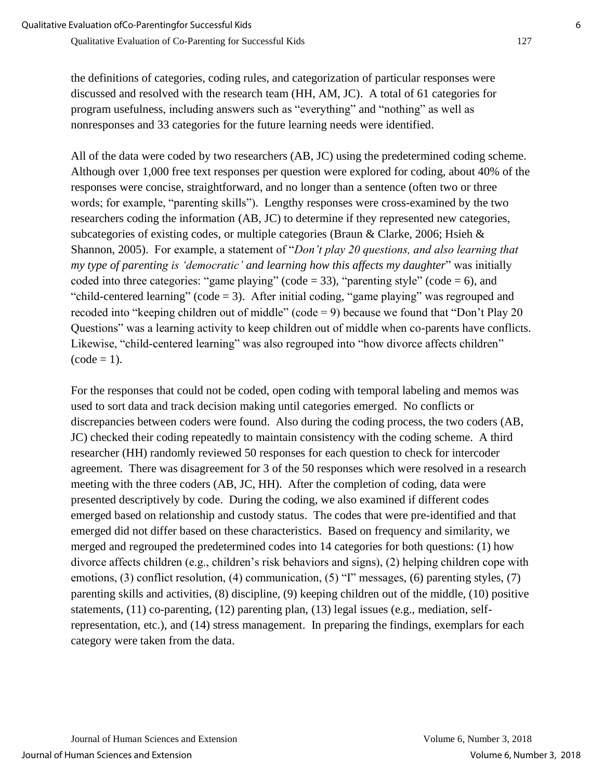the definitions of categories, coding rules, and categorization of particular responses were discussed and resolved with the research team (HH, AM, JC). A total of 61 categories for program usefulness, including answers such as "everything" and "nothing" as well as nonresponses and 33 categories for the future learning needs were identified.

All of the data were coded by two researchers (AB, JC) using the predetermined coding scheme. Although over 1,000 free text responses per question were explored for coding, about 40% of the responses were concise, straightforward, and no longer than a sentence (often two or three words; for example, "parenting skills"). Lengthy responses were cross-examined by the two researchers coding the information (AB, JC) to determine if they represented new categories, subcategories of existing codes, or multiple categories (Braun & Clarke, 2006; Hsieh & Shannon, 2005). For example, a statement of "*Don't play 20 questions, and also learning that my type of parenting is 'democratic' and learning how this affects my daughter*" was initially coded into three categories: "game playing" (code = 33), "parenting style" (code = 6), and "child-centered learning" (code = 3). After initial coding, "game playing" was regrouped and recoded into "keeping children out of middle" (code = 9) because we found that "Don't Play 20 Questions" was a learning activity to keep children out of middle when co-parents have conflicts. Likewise, "child-centered learning" was also regrouped into "how divorce affects children"  $(code = 1)$ .

For the responses that could not be coded, open coding with temporal labeling and memos was used to sort data and track decision making until categories emerged. No conflicts or discrepancies between coders were found. Also during the coding process, the two coders (AB, JC) checked their coding repeatedly to maintain consistency with the coding scheme. A third researcher (HH) randomly reviewed 50 responses for each question to check for intercoder agreement. There was disagreement for 3 of the 50 responses which were resolved in a research meeting with the three coders (AB, JC, HH). After the completion of coding, data were presented descriptively by code. During the coding, we also examined if different codes emerged based on relationship and custody status. The codes that were pre-identified and that emerged did not differ based on these characteristics. Based on frequency and similarity, we merged and regrouped the predetermined codes into 14 categories for both questions: (1) how divorce affects children (e.g., children's risk behaviors and signs), (2) helping children cope with emotions, (3) conflict resolution, (4) communication, (5) "I" messages, (6) parenting styles, (7) parenting skills and activities, (8) discipline, (9) keeping children out of the middle, (10) positive statements, (11) co-parenting, (12) parenting plan, (13) legal issues (e.g., mediation, selfrepresentation, etc.), and (14) stress management. In preparing the findings, exemplars for each category were taken from the data.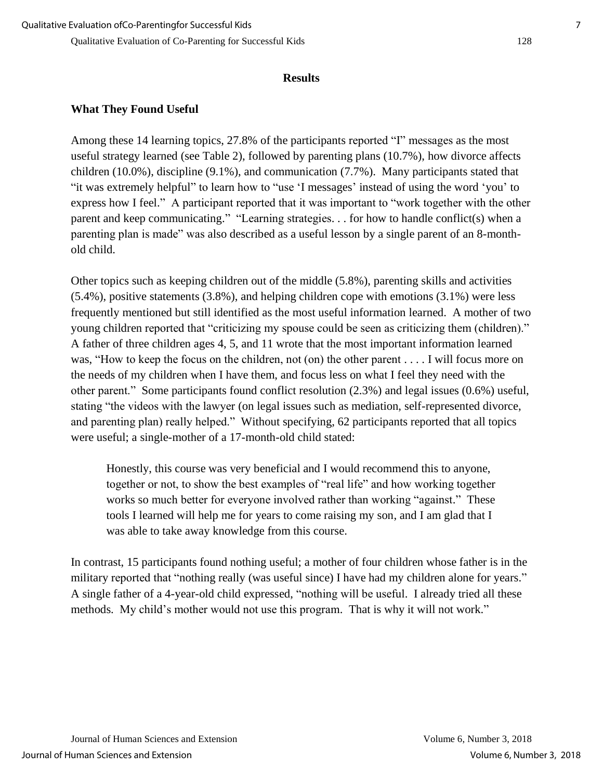#### **Results**

## **What They Found Useful**

Among these 14 learning topics, 27.8% of the participants reported "I" messages as the most useful strategy learned (see Table 2), followed by parenting plans (10.7%), how divorce affects children (10.0%), discipline (9.1%), and communication (7.7%). Many participants stated that "it was extremely helpful" to learn how to "use 'I messages' instead of using the word 'you' to express how I feel." A participant reported that it was important to "work together with the other parent and keep communicating." "Learning strategies. . . for how to handle conflict(s) when a parenting plan is made" was also described as a useful lesson by a single parent of an 8-monthold child.

Other topics such as keeping children out of the middle (5.8%), parenting skills and activities (5.4%), positive statements (3.8%), and helping children cope with emotions (3.1%) were less frequently mentioned but still identified as the most useful information learned. A mother of two young children reported that "criticizing my spouse could be seen as criticizing them (children)." A father of three children ages 4, 5, and 11 wrote that the most important information learned was, "How to keep the focus on the children, not (on) the other parent . . . . I will focus more on the needs of my children when I have them, and focus less on what I feel they need with the other parent." Some participants found conflict resolution (2.3%) and legal issues (0.6%) useful, stating "the videos with the lawyer (on legal issues such as mediation, self-represented divorce, and parenting plan) really helped." Without specifying, 62 participants reported that all topics were useful; a single-mother of a 17-month-old child stated:

Honestly, this course was very beneficial and I would recommend this to anyone, together or not, to show the best examples of "real life" and how working together works so much better for everyone involved rather than working "against." These tools I learned will help me for years to come raising my son, and I am glad that I was able to take away knowledge from this course.

In contrast, 15 participants found nothing useful; a mother of four children whose father is in the military reported that "nothing really (was useful since) I have had my children alone for years." A single father of a 4-year-old child expressed, "nothing will be useful. I already tried all these methods. My child's mother would not use this program. That is why it will not work."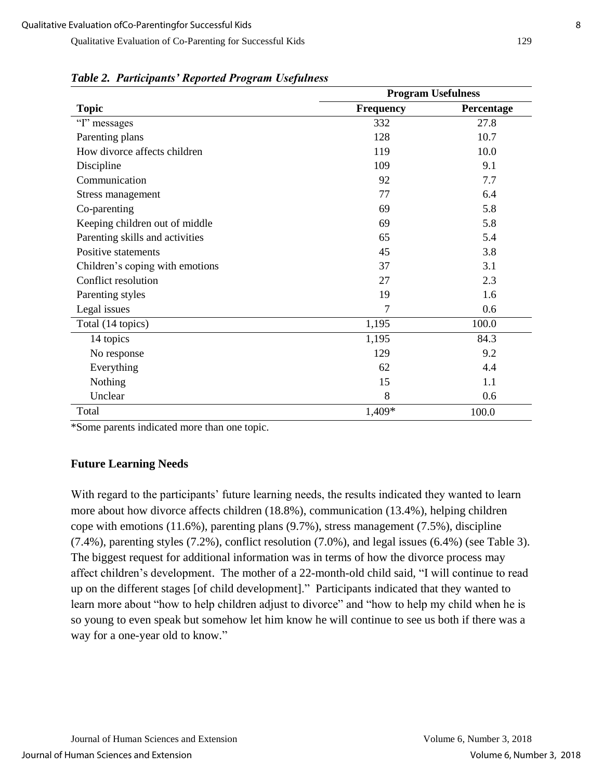|                                 |           | <b>Program Usefulness</b> |  |
|---------------------------------|-----------|---------------------------|--|
| <b>Topic</b>                    | Frequency | Percentage                |  |
| "I" messages                    | 332       | 27.8                      |  |
| Parenting plans                 | 128       | 10.7                      |  |
| How divorce affects children    | 119       | 10.0                      |  |
| Discipline                      | 109       | 9.1                       |  |
| Communication                   | 92        | 7.7                       |  |
| Stress management               | 77        | 6.4                       |  |
| Co-parenting                    | 69        | 5.8                       |  |
| Keeping children out of middle  | 69        | 5.8                       |  |
| Parenting skills and activities | 65        | 5.4                       |  |
| Positive statements             | 45        | 3.8                       |  |
| Children's coping with emotions | 37        | 3.1                       |  |
| Conflict resolution             | 27        | 2.3                       |  |
| Parenting styles                | 19        | 1.6                       |  |
| Legal issues                    | 7         | 0.6                       |  |
| Total (14 topics)               | 1,195     | 100.0                     |  |
| 14 topics                       | 1,195     | 84.3                      |  |
| No response                     | 129       | 9.2                       |  |
| Everything                      | 62        | 4.4                       |  |
| Nothing                         | 15        | 1.1                       |  |
| Unclear                         | 8         | 0.6                       |  |
| Total                           | 1,409*    | 100.0                     |  |

*Table 2. Participants' Reported Program Usefulness* 

\*Some parents indicated more than one topic.

# **Future Learning Needs**

With regard to the participants' future learning needs, the results indicated they wanted to learn more about how divorce affects children (18.8%), communication (13.4%), helping children cope with emotions (11.6%), parenting plans (9.7%), stress management (7.5%), discipline (7.4%), parenting styles (7.2%), conflict resolution (7.0%), and legal issues (6.4%) (see Table 3). The biggest request for additional information was in terms of how the divorce process may affect children's development. The mother of a 22-month-old child said, "I will continue to read up on the different stages [of child development]." Participants indicated that they wanted to learn more about "how to help children adjust to divorce" and "how to help my child when he is so young to even speak but somehow let him know he will continue to see us both if there was a way for a one-year old to know."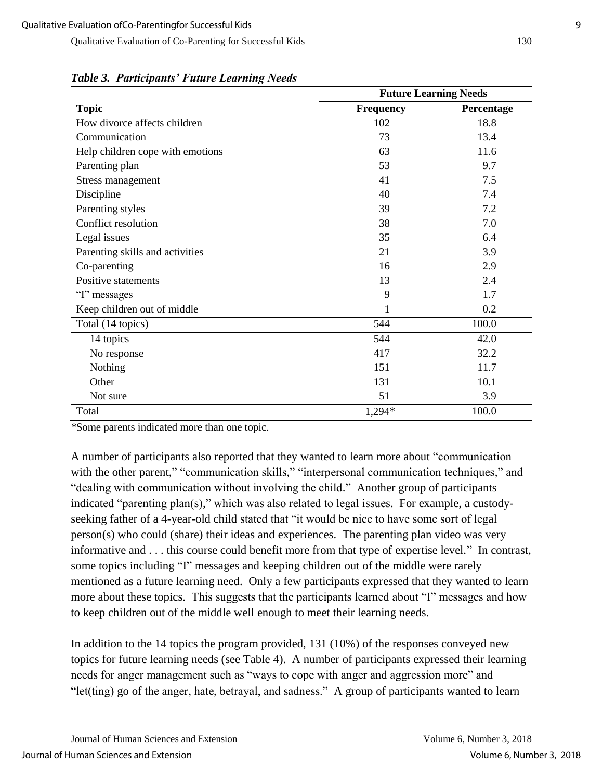|                                  | <b>Future Learning Needs</b> |            |
|----------------------------------|------------------------------|------------|
| <b>Topic</b>                     | <b>Frequency</b>             | Percentage |
| How divorce affects children     | 102                          | 18.8       |
| Communication                    | 73                           | 13.4       |
| Help children cope with emotions | 63                           | 11.6       |
| Parenting plan                   | 53                           | 9.7        |
| Stress management                | 41                           | 7.5        |
| Discipline                       | 40                           | 7.4        |
| Parenting styles                 | 39                           | 7.2        |
| Conflict resolution              | 38                           | 7.0        |
| Legal issues                     | 35                           | 6.4        |
| Parenting skills and activities  | 21                           | 3.9        |
| Co-parenting                     | 16                           | 2.9        |
| Positive statements              | 13                           | 2.4        |
| "I" messages                     | 9                            | 1.7        |
| Keep children out of middle      | 1                            | 0.2        |
| Total (14 topics)                | 544                          | 100.0      |
| 14 topics                        | 544                          | 42.0       |
| No response                      | 417                          | 32.2       |
| Nothing                          | 151                          | 11.7       |
| Other                            | 131                          | 10.1       |
| Not sure                         | 51                           | 3.9        |
| Total                            | 1,294*                       | 100.0      |

*Table 3. Participants' Future Learning Needs* 

*\**Some parents indicated more than one topic.

A number of participants also reported that they wanted to learn more about "communication with the other parent," "communication skills," "interpersonal communication techniques," and "dealing with communication without involving the child." Another group of participants indicated "parenting plan(s)," which was also related to legal issues. For example, a custodyseeking father of a 4-year-old child stated that "it would be nice to have some sort of legal person(s) who could (share) their ideas and experiences. The parenting plan video was very informative and . . . this course could benefit more from that type of expertise level." In contrast, some topics including "I" messages and keeping children out of the middle were rarely mentioned as a future learning need. Only a few participants expressed that they wanted to learn more about these topics. This suggests that the participants learned about "I" messages and how to keep children out of the middle well enough to meet their learning needs.

In addition to the 14 topics the program provided, 131 (10%) of the responses conveyed new topics for future learning needs (see Table 4). A number of participants expressed their learning needs for anger management such as "ways to cope with anger and aggression more" and "let(ting) go of the anger, hate, betrayal, and sadness." A group of participants wanted to learn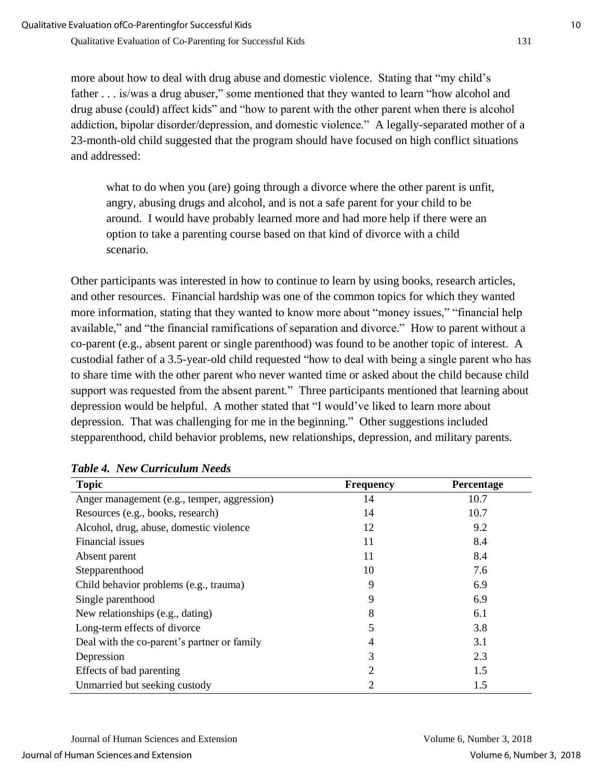more about how to deal with drug abuse and domestic violence. Stating that "my child's father . . . is/was a drug abuser," some mentioned that they wanted to learn "how alcohol and drug abuse (could) affect kids" and "how to parent with the other parent when there is alcohol addiction, bipolar disorder/depression, and domestic violence." A legally-separated mother of a 23-month-old child suggested that the program should have focused on high conflict situations and addressed:

what to do when you (are) going through a divorce where the other parent is unfit, angry, abusing drugs and alcohol, and is not a safe parent for your child to be around. I would have probably learned more and had more help if there were an option to take a parenting course based on that kind of divorce with a child scenario.

Other participants was interested in how to continue to learn by using books, research articles, and other resources. Financial hardship was one of the common topics for which they wanted more information, stating that they wanted to know more about "money issues," "financial help available," and "the financial ramifications of separation and divorce." How to parent without a co-parent (e.g., absent parent or single parenthood) was found to be another topic of interest. A custodial father of a 3.5-year-old child requested "how to deal with being a single parent who has to share time with the other parent who never wanted time or asked about the child because child support was requested from the absent parent." Three participants mentioned that learning about depression would be helpful. A mother stated that "I would've liked to learn more about depression. That was challenging for me in the beginning." Other suggestions included stepparenthood, child behavior problems, new relationships, depression, and military parents.

| <b>Topic</b>                                | <b>Frequency</b> | Percentage |
|---------------------------------------------|------------------|------------|
| Anger management (e.g., temper, aggression) | 14               | 10.7       |
| Resources (e.g., books, research)           | 14               | 10.7       |
| Alcohol, drug, abuse, domestic violence     | 12               | 9.2        |
| Financial issues                            | 11               | 8.4        |
| Absent parent                               | 11               | 8.4        |
| Stepparenthood                              | 10               | 7.6        |
| Child behavior problems (e.g., trauma)      | 9                | 6.9        |
| Single parenthood                           | 9                | 6.9        |
| New relationships (e.g., dating)            | 8                | 6.1        |
| Long-term effects of divorce                | 5                | 3.8        |
| Deal with the co-parent's partner or family | 4                | 3.1        |
| Depression                                  | 3                | 2.3        |
| Effects of bad parenting                    | 2                | 1.5        |
| Unmarried but seeking custody               | 2                | 1.5        |

*Table 4. New Curriculum Needs*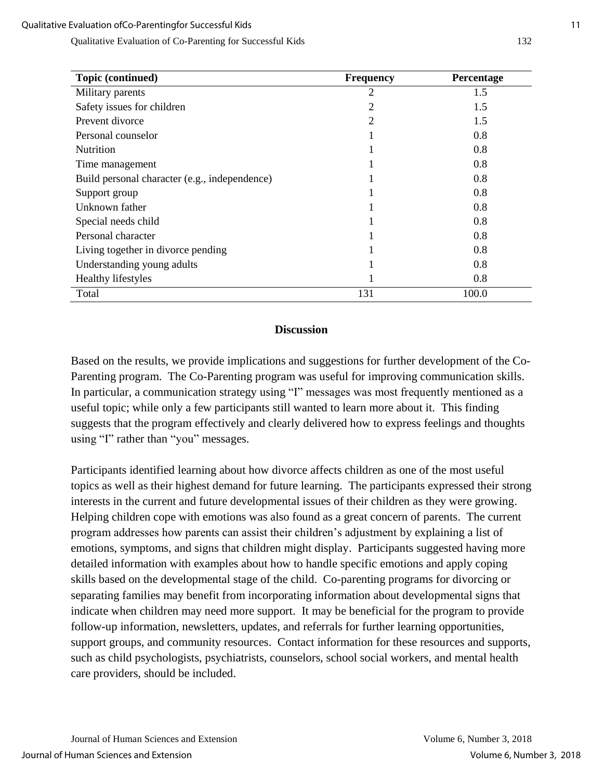| Topic (continued)                             | <b>Frequency</b> | Percentage |
|-----------------------------------------------|------------------|------------|
| Military parents                              | 2                | 1.5        |
| Safety issues for children                    | 2                | 1.5        |
| Prevent divorce                               | 2                | 1.5        |
| Personal counselor                            |                  | 0.8        |
| <b>Nutrition</b>                              |                  | 0.8        |
| Time management                               |                  | 0.8        |
| Build personal character (e.g., independence) |                  | 0.8        |
| Support group                                 |                  | 0.8        |
| Unknown father                                |                  | 0.8        |
| Special needs child                           |                  | 0.8        |
| Personal character                            |                  | 0.8        |
| Living together in divorce pending            |                  | 0.8        |
| Understanding young adults                    |                  | 0.8        |
| <b>Healthy lifestyles</b>                     |                  | 0.8        |
| Total                                         | 131              | 100.0      |

#### **Discussion**

Based on the results, we provide implications and suggestions for further development of the Co-Parenting program. The Co-Parenting program was useful for improving communication skills. In particular, a communication strategy using "I" messages was most frequently mentioned as a useful topic; while only a few participants still wanted to learn more about it. This finding suggests that the program effectively and clearly delivered how to express feelings and thoughts using "I" rather than "you" messages.

Participants identified learning about how divorce affects children as one of the most useful topics as well as their highest demand for future learning. The participants expressed their strong interests in the current and future developmental issues of their children as they were growing. Helping children cope with emotions was also found as a great concern of parents. The current program addresses how parents can assist their children's adjustment by explaining a list of emotions, symptoms, and signs that children might display. Participants suggested having more detailed information with examples about how to handle specific emotions and apply coping skills based on the developmental stage of the child. Co-parenting programs for divorcing or separating families may benefit from incorporating information about developmental signs that indicate when children may need more support. It may be beneficial for the program to provide follow-up information, newsletters, updates, and referrals for further learning opportunities, support groups, and community resources. Contact information for these resources and supports, such as child psychologists, psychiatrists, counselors, school social workers, and mental health care providers, should be included.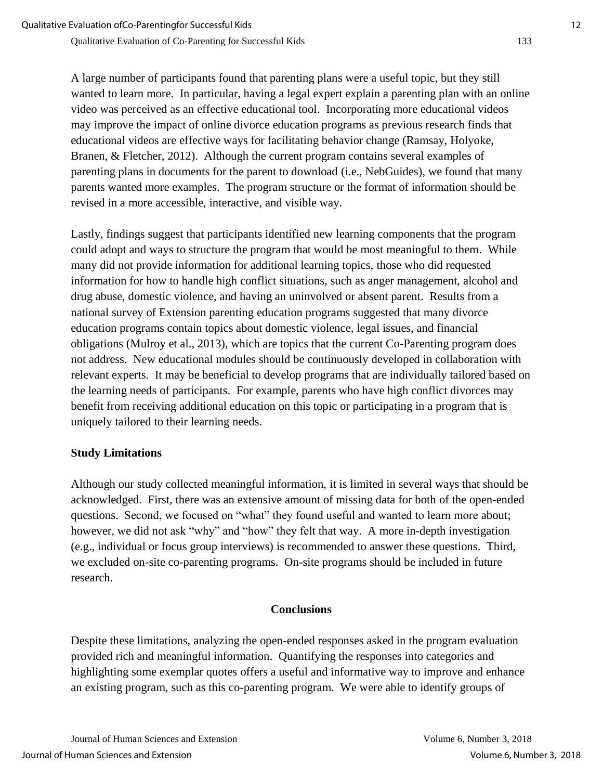A large number of participants found that parenting plans were a useful topic, but they still wanted to learn more. In particular, having a legal expert explain a parenting plan with an online video was perceived as an effective educational tool. Incorporating more educational videos may improve the impact of online divorce education programs as previous research finds that educational videos are effective ways for facilitating behavior change (Ramsay, Holyoke, Branen, & Fletcher, 2012). Although the current program contains several examples of parenting plans in documents for the parent to download (i.e., NebGuides), we found that many parents wanted more examples. The program structure or the format of information should be revised in a more accessible, interactive, and visible way.

Lastly, findings suggest that participants identified new learning components that the program could adopt and ways to structure the program that would be most meaningful to them. While many did not provide information for additional learning topics, those who did requested information for how to handle high conflict situations, such as anger management, alcohol and drug abuse, domestic violence, and having an uninvolved or absent parent. Results from a national survey of Extension parenting education programs suggested that many divorce education programs contain topics about domestic violence, legal issues, and financial obligations (Mulroy et al., 2013), which are topics that the current Co-Parenting program does not address. New educational modules should be continuously developed in collaboration with relevant experts. It may be beneficial to develop programs that are individually tailored based on the learning needs of participants. For example, parents who have high conflict divorces may benefit from receiving additional education on this topic or participating in a program that is uniquely tailored to their learning needs.

# **Study Limitations**

Although our study collected meaningful information, it is limited in several ways that should be acknowledged. First, there was an extensive amount of missing data for both of the open-ended questions. Second, we focused on "what" they found useful and wanted to learn more about; however, we did not ask "why" and "how" they felt that way. A more in-depth investigation (e.g., individual or focus group interviews) is recommended to answer these questions. Third, we excluded on-site co-parenting programs. On-site programs should be included in future research.

# **Conclusions**

Despite these limitations, analyzing the open-ended responses asked in the program evaluation provided rich and meaningful information. Quantifying the responses into categories and highlighting some exemplar quotes offers a useful and informative way to improve and enhance an existing program, such as this co-parenting program. We were able to identify groups of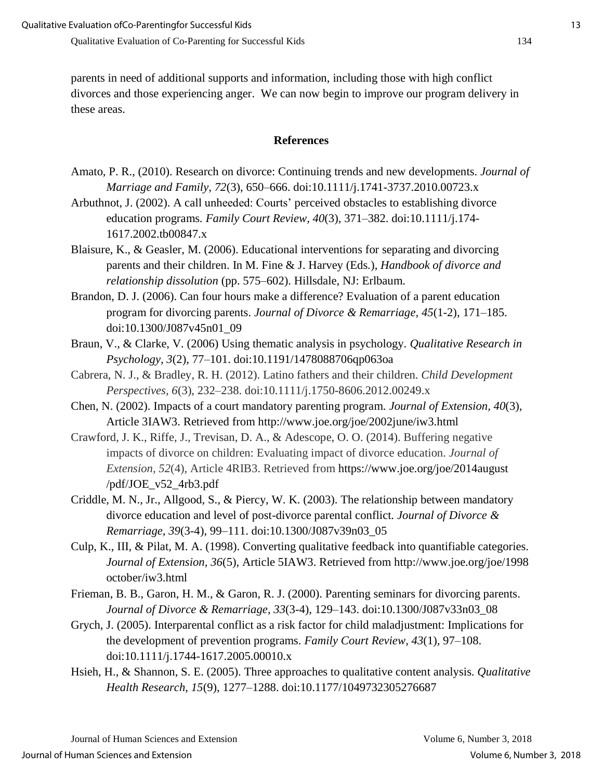parents in need of additional supports and information, including those with high conflict divorces and those experiencing anger. We can now begin to improve our program delivery in these areas.

#### **References**

- Amato, P. R., (2010). Research on divorce: Continuing trends and new developments. *Journal of Marriage and Family, 72*(3), 650–666. doi:10.1111/j.1741-3737.2010.00723.x
- Arbuthnot, J. (2002). A call unheeded: Courts' perceived obstacles to establishing divorce education programs. *Family Court Review, 40*(3), 371–382. doi:10.1111/j.174- 1617.2002.tb00847.x
- Blaisure, K., & Geasler, M. (2006). Educational interventions for separating and divorcing parents and their children. In M. Fine & J. Harvey (Eds.), *Handbook of divorce and relationship dissolution* (pp. 575–602). Hillsdale, NJ: Erlbaum.
- Brandon, D. J. (2006). Can four hours make a difference? Evaluation of a parent education program for divorcing parents. *Journal of Divorce & Remarriage, 45*(1-2), 171–185. doi:10.1300/J087v45n01\_09
- Braun, V., & Clarke, V. (2006) Using thematic analysis in psychology. *Qualitative Research in Psychology, 3*(2), 77–101. doi:10.1191/1478088706qp063oa
- Cabrera, N. J., & Bradley, R. H. (2012). Latino fathers and their children. *Child Development Perspectives, 6*(3), 232–238. doi:10.1111/j.1750-8606.2012.00249.x
- Chen, N. (2002). Impacts of a court mandatory parenting program. *Journal of Extension, 40*(3), Article 3IAW3. Retrieved from http://www.joe.org/joe/2002june/iw3.html
- Crawford, J. K., Riffe, J., Trevisan, D. A., & Adescope, O. O. (2014). Buffering negative impacts of divorce on children: Evaluating impact of divorce education. *Journal of Extension, 52*(4), Article 4RIB3. Retrieved from https://www.joe.org/joe/2014august /pdf/JOE\_v52\_4rb3.pdf
- Criddle, M. N., Jr., Allgood, S., & Piercy, W. K. (2003). The relationship between mandatory divorce education and level of post-divorce parental conflict. *Journal of Divorce & Remarriage, 39*(3-4), 99–111. doi:10.1300/J087v39n03\_05
- Culp, K., III, & Pilat, M. A. (1998). Converting qualitative feedback into quantifiable categories. *Journal of Extension, 36*(5), Article 5IAW3. Retrieved from http://www.joe.org/joe/1998 october/iw3.html
- Frieman, B. B., Garon, H. M., & Garon, R. J. (2000). Parenting seminars for divorcing parents. *Journal of Divorce & Remarriage, 33*(3-4), 129–143. doi:10.1300/J087v33n03\_08
- Grych, J. (2005). Interparental conflict as a risk factor for child maladjustment: Implications for the development of prevention programs. *Family Court Review, 43*(1)*,* 97–108. doi:10.1111/j.1744-1617.2005.00010.x
- Hsieh, H., & Shannon, S. E. (2005). Three approaches to qualitative content analysis. *Qualitative Health Research, 15*(9), 1277–1288. doi:10.1177/1049732305276687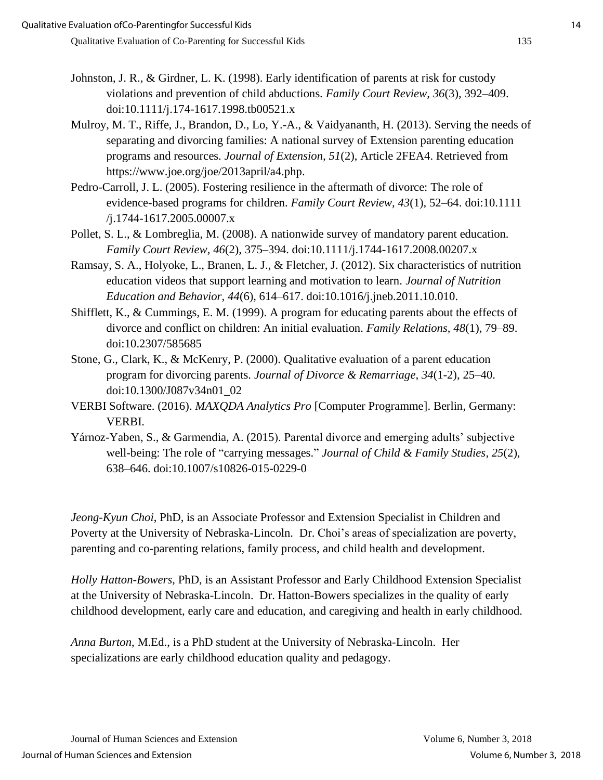- Johnston, J. R., & Girdner, L. K. (1998). Early identification of parents at risk for custody violations and prevention of child abductions. *Family Court Review, 36*(3)*,* 392–409. doi:10.1111/j.174-1617.1998.tb00521.x
- Mulroy, M. T., Riffe, J., Brandon, D., Lo, Y.-A., & Vaidyananth, H. (2013). Serving the needs of separating and divorcing families: A national survey of Extension parenting education programs and resources. *Journal of Extension, 51*(2), Article 2FEA4. Retrieved from https://www.joe.org/joe/2013april/a4.php.
- Pedro-Carroll, J. L. (2005). Fostering resilience in the aftermath of divorce: The role of evidence-based programs for children. *Family Court Review, 43*(1)*,* 52–64. doi:10.1111 /j.1744-1617.2005.00007.x
- Pollet, S. L., & Lombreglia, M. (2008). A nationwide survey of mandatory parent education. *Family Court Review, 46*(2)*,* 375–394. doi:10.1111/j.1744-1617.2008.00207.x
- Ramsay, S. A., Holyoke, L., Branen, L. J., & Fletcher, J. (2012). Six characteristics of nutrition education videos that support learning and motivation to learn. *Journal of Nutrition Education and Behavior, 44*(6), 614–617. doi:10.1016/j.jneb.2011.10.010.
- Shifflett, K., & Cummings, E. M. (1999). A program for educating parents about the effects of divorce and conflict on children: An initial evaluation. *Family Relations, 48*(1), 79–89. doi:10.2307/585685
- Stone, G., Clark, K., & McKenry, P. (2000). Qualitative evaluation of a parent education program for divorcing parents. *Journal of Divorce & Remarriage, 34*(1-2), 25–40. doi:10.1300/J087v34n01\_02
- VERBI Software. (2016). *MAXQDA Analytics Pro* [Computer Programme]. Berlin, Germany: VERBI.
- Yárnoz-Yaben, S., & Garmendia, A. (2015). Parental divorce and emerging adults' subjective well-being: The role of "carrying messages." *Journal of Child & Family Studies, 25*(2), 638–646. doi:10.1007/s10826-015-0229-0

*Jeong-Kyun Choi*, PhD, is an Associate Professor and Extension Specialist in Children and Poverty at the University of Nebraska-Lincoln. Dr. Choi's areas of specialization are poverty, parenting and co-parenting relations, family process, and child health and development.

*Holly Hatton-Bowers*, PhD, is an Assistant Professor and Early Childhood Extension Specialist at the University of Nebraska-Lincoln. Dr. Hatton-Bowers specializes in the quality of early childhood development, early care and education, and caregiving and health in early childhood.

*Anna Burton*, M.Ed., is a PhD student at the University of Nebraska-Lincoln. Her specializations are early childhood education quality and pedagogy.